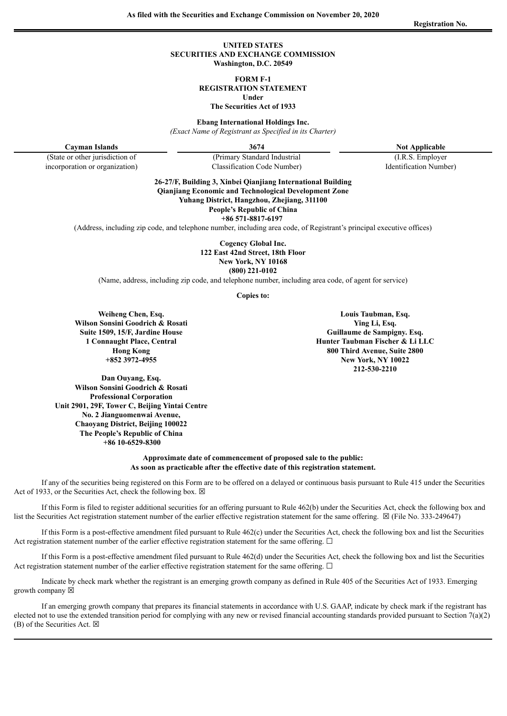#### **UNITED STATES SECURITIES AND EXCHANGE COMMISSION Washington, D.C. 20549**

**FORM F-1**

**REGISTRATION STATEMENT**

**Under**

**The Securities Act of 1933**

**Ebang International Holdings Inc.**

*(Exact Name of Registrant as Specified in its Charter)*

**Cayman Islands 3674 Not Applicable** 

(State or other jurisdiction of (Primary Standard Industrial (I.R.S. Employer

incorporation or organization) Classification Code Number) Identification Number) **26-27/F, Building 3, Xinbei Qianjiang International Building Qianjiang Economic and Technological Development Zone Yuhang District, Hangzhou, Zhejiang, 311100**

**People's Republic of China**

**+86 571-8817-6197**

(Address, including zip code, and telephone number, including area code, of Registrant's principal executive offices)

**Cogency Global Inc. 122 East 42nd Street, 18th Floor New York, NY 10168 (800) 221-0102**

(Name, address, including zip code, and telephone number, including area code, of agent for service)

**Copies to:**

**Weiheng Chen, Esq. Wilson Sonsini Goodrich & Rosati Suite 1509, 15/F, Jardine House 1 Connaught Place, Central Hong Kong +852 3972-4955**

**Dan Ouyang, Esq. Wilson Sonsini Goodrich & Rosati Professional Corporation Unit 2901, 29F, Tower C, Beijing Yintai Centre No. 2 Jianguomenwai Avenue, Chaoyang District, Beijing 100022 The People's Republic of China +86 10-6529-8300**

**Louis Taubman, Esq. Ying Li, Esq. Guillaume de Sampigny. Esq. Hunter Taubman Fischer & Li LLC 800 Third Avenue, Suite 2800 New York, NY 10022 212-530-2210**

**Approximate date of commencement of proposed sale to the public: As soon as practicable after the effective date of this registration statement.**

If any of the securities being registered on this Form are to be offered on a delayed or continuous basis pursuant to Rule 415 under the Securities Act of 1933, or the Securities Act, check the following box.  $\boxtimes$ 

If this Form is filed to register additional securities for an offering pursuant to Rule 462(b) under the Securities Act, check the following box and list the Securities Act registration statement number of the earlier effective registration statement for the same offering. ☒ (File No. 333-249647)

If this Form is a post-effective amendment filed pursuant to Rule 462(c) under the Securities Act, check the following box and list the Securities Act registration statement number of the earlier effective registration statement for the same offering.  $\Box$ 

If this Form is a post-effective amendment filed pursuant to Rule 462(d) under the Securities Act, check the following box and list the Securities Act registration statement number of the earlier effective registration statement for the same offering.  $\Box$ 

Indicate by check mark whether the registrant is an emerging growth company as defined in Rule 405 of the Securities Act of 1933. Emerging growth company  $\boxtimes$ 

If an emerging growth company that prepares its financial statements in accordance with U.S. GAAP, indicate by check mark if the registrant has elected not to use the extended transition period for complying with any new or revised financial accounting standards provided pursuant to Section 7(a)(2) (B) of the Securities Act.  $\boxtimes$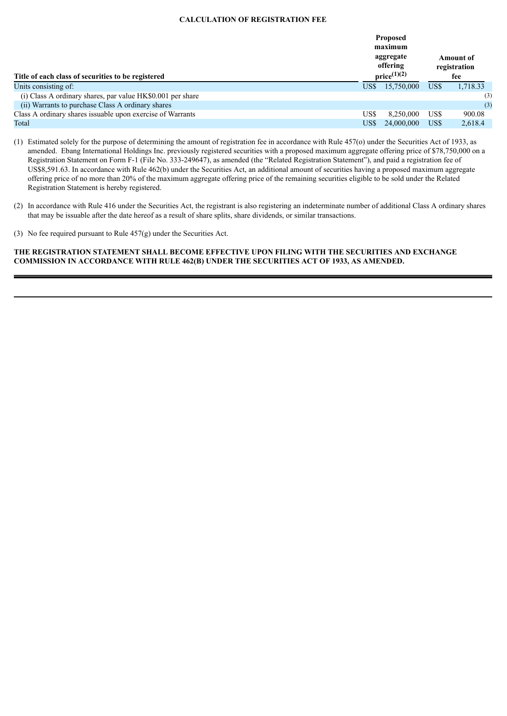#### **CALCULATION OF REGISTRATION FEE**

| Title of each class of securities to be registered          | <b>Proposed</b><br>maximum<br>aggregate<br>offering<br>$price^{(1)(2)}$ | Amount of<br>registration<br>fee |          |
|-------------------------------------------------------------|-------------------------------------------------------------------------|----------------------------------|----------|
| Units consisting of:                                        | US\$-<br>15,750,000                                                     | US\$                             | 1,718.33 |
| (i) Class A ordinary shares, par value HK\$0.001 per share  |                                                                         |                                  | (3)      |
| (ii) Warrants to purchase Class A ordinary shares           |                                                                         |                                  | (3)      |
| Class A ordinary shares is suable upon exercise of Warrants | US\$<br>8,250,000                                                       | US\$                             | 900.08   |
| Total                                                       | US\$<br>24,000,000                                                      | US\$                             | 2.618.4  |

(1) Estimated solely for the purpose of determining the amount of registration fee in accordance with Rule 457(o) under the Securities Act of 1933, as amended. Ebang International Holdings Inc. previously registered securities with a proposed maximum aggregate offering price of \$78,750,000 on a Registration Statement on Form F-1 (File No. 333-249647), as amended (the "Related Registration Statement"), and paid a registration fee of US\$8,591.63. In accordance with Rule 462(b) under the Securities Act, an additional amount of securities having a proposed maximum aggregate offering price of no more than 20% of the maximum aggregate offering price of the remaining securities eligible to be sold under the Related Registration Statement is hereby registered.

(3) No fee required pursuant to Rule 457(g) under the Securities Act.

### **THE REGISTRATION STATEMENT SHALL BECOME EFFECTIVE UPON FILING WITH THE SECURITIES AND EXCHANGE COMMISSION IN ACCORDANCE WITH RULE 462(B) UNDER THE SECURITIES ACT OF 1933, AS AMENDED.**

<sup>(2)</sup> In accordance with Rule 416 under the Securities Act, the registrant is also registering an indeterminate number of additional Class A ordinary shares that may be issuable after the date hereof as a result of share splits, share dividends, or similar transactions.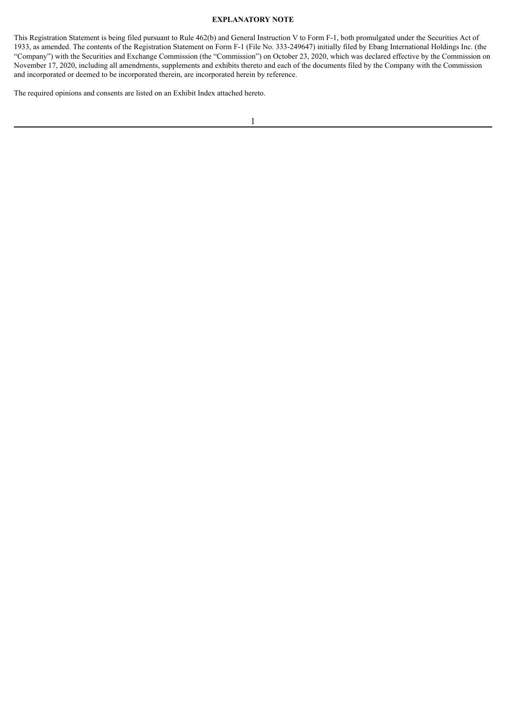#### **EXPLANATORY NOTE**

This Registration Statement is being filed pursuant to Rule 462(b) and General Instruction V to Form F-1, both promulgated under the Securities Act of 1933, as amended. The contents of the Registration Statement on Form F-1 (File No. 333-249647) initially filed by Ebang International Holdings Inc. (the "Company") with the Securities and Exchange Commission (the "Commission") on October 23, 2020, which was declared effective by the Commission on November 17, 2020, including all amendments, supplements and exhibits thereto and each of the documents filed by the Company with the Commission and incorporated or deemed to be incorporated therein, are incorporated herein by reference.

The required opinions and consents are listed on an Exhibit Index attached hereto.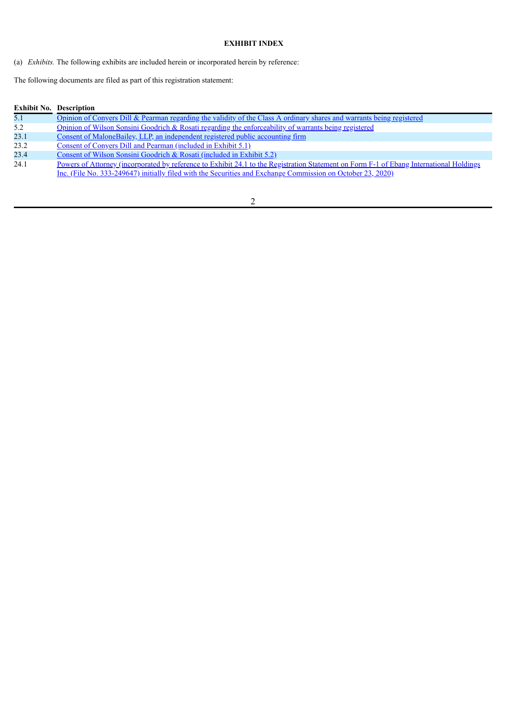## **EXHIBIT INDEX**

(a) *Exhibits.* The following exhibits are included herein or incorporated herein by reference:

The following documents are filed as part of this registration statement:

| <b>Exhibit No. Description</b> |
|--------------------------------|
|                                |

| 5.1  | Opinion of Conyers Dill & Pearman regarding the validity of the Class A ordinary shares and warrants being registered |
|------|-----------------------------------------------------------------------------------------------------------------------|
| 5.2  | Opinion of Wilson Sonsini Goodrich & Rosati regarding the enforceability of warrants being registered                 |
| 23.1 | <u>Consent of MaloneBailey, LLP, an independent registered public accounting firm</u>                                 |
| 23.2 | Consent of Conyers Dill and Pearman (included in Exhibit 5.1)                                                         |
| 23.4 | Consent of Wilson Sonsini Goodrich & Rosati (included in Exhibit $5.2$ )                                              |
| ___  |                                                                                                                       |

24.1 Powers of Attorney [\(incorporated](http://www.sec.gov/Archives/edgar/data/1799290/000121390020033046/ea128160-f1_ebanginter.htm#poa) by reference to Exhibit 24.1 to the Registration Statement on Form F-1 of Ebang International Holdings Inc. (File No. 333-249647) initially filed with the Securities and Exchange Commission on October 23, 2020)

## 2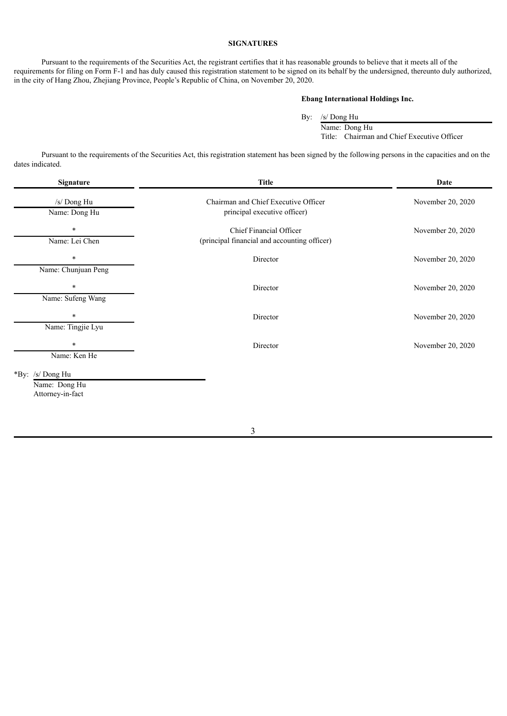#### **SIGNATURES**

Pursuant to the requirements of the Securities Act, the registrant certifies that it has reasonable grounds to believe that it meets all of the requirements for filing on Form F-1 and has duly caused this registration statement to be signed on its behalf by the undersigned, thereunto duly authorized, in the city of Hang Zhou, Zhejiang Province, People's Republic of China, on November 20, 2020.

## **Ebang International Holdings Inc.**

By: /s/ Dong Hu Name: Dong Hu

Title: Chairman and Chief Executive Officer

Pursuant to the requirements of the Securities Act, this registration statement has been signed by the following persons in the capacities and on the dates indicated.

| Signature                                             | <b>Title</b>                                                                   | Date              |
|-------------------------------------------------------|--------------------------------------------------------------------------------|-------------------|
| /s/ Dong Hu<br>Name: Dong Hu                          | Chairman and Chief Executive Officer<br>principal executive officer)           | November 20, 2020 |
| $\ast$<br>Name: Lei Chen                              | <b>Chief Financial Officer</b><br>(principal financial and accounting officer) | November 20, 2020 |
| $\ast$<br>Name: Chunjuan Peng                         | Director                                                                       | November 20, 2020 |
| $\ast$<br>Name: Sufeng Wang                           | Director                                                                       | November 20, 2020 |
| $\ast$<br>Name: Tingjie Lyu                           | Director                                                                       | November 20, 2020 |
| $\ast$<br>Name: Ken He                                | Director                                                                       | November 20, 2020 |
| *By: /s/ Dong Hu<br>Name: Dong Hu<br>Attorney-in-fact |                                                                                |                   |

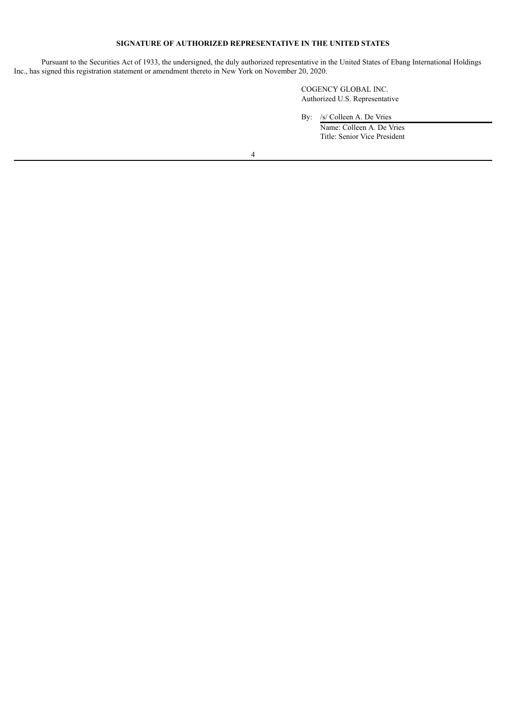## **SIGNATURE OF AUTHORIZED REPRESENTATIVE IN THE UNITED STATES**

Pursuant to the Securities Act of 1933, the undersigned, the duly authorized representative in the United States of Ebang International Holdings Inc., has signed this registration statement or amendment thereto in New York on November 20, 2020.

> COGENCY GLOBAL INC. Authorized U.S. Representative

By: /s/ Colleen A. De Vries Name: Colleen A. De Vries Title: Senior Vice President

4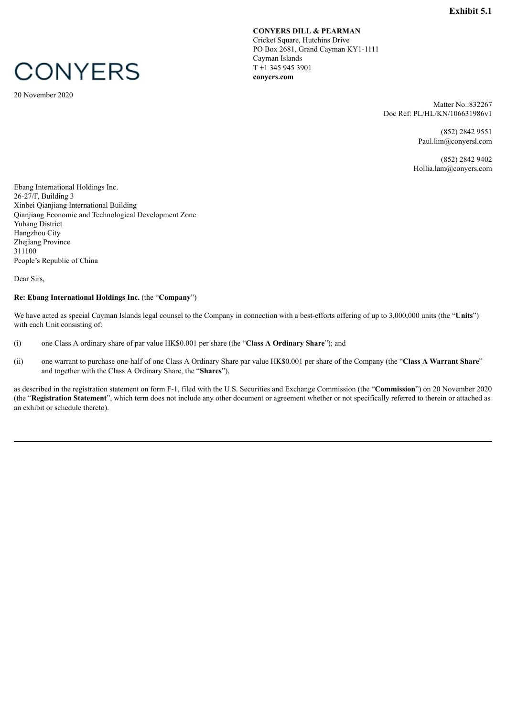# <span id="page-6-0"></span>**CONYERS**

20 November 2020

**CONYERS DILL & PEARMAN** Cricket Square, Hutchins Drive PO Box 2681, Grand Cayman KY1-1111 Cayman Islands T +1 345 945 3901 **conyers.com**

> Matter No.:832267 Doc Ref: PL/HL/KN/106631986v1

> > (852) 2842 9551 Paul.lim@conyersl.com

(852) 2842 9402 Hollia.lam@conyers.com

Ebang International Holdings Inc. 26-27/F, Building 3 Xinbei Qianjiang International Building Qianjiang Economic and Technological Development Zone Yuhang District Hangzhou City Zhejiang Province 311100 People's Republic of China

Dear Sirs,

## **Re: Ebang International Holdings Inc.** (the "**Company**")

We have acted as special Cayman Islands legal counsel to the Company in connection with a best-efforts offering of up to 3,000,000 units (the "**Units**") with each Unit consisting of:

- (i) one Class A ordinary share of par value HK\$0.001 per share (the "**Class A Ordinary Share**"); and
- (ii) one warrant to purchase one-half of one Class A Ordinary Share par value HK\$0.001 per share of the Company (the "**Class A Warrant Share**" and together with the Class A Ordinary Share, the "**Shares**"),

as described in the registration statement on form F-1, filed with the U.S. Securities and Exchange Commission (the "**Commission**") on 20 November 2020 (the "**Registration Statement**", which term does not include any other document or agreement whether or not specifically referred to therein or attached as an exhibit or schedule thereto).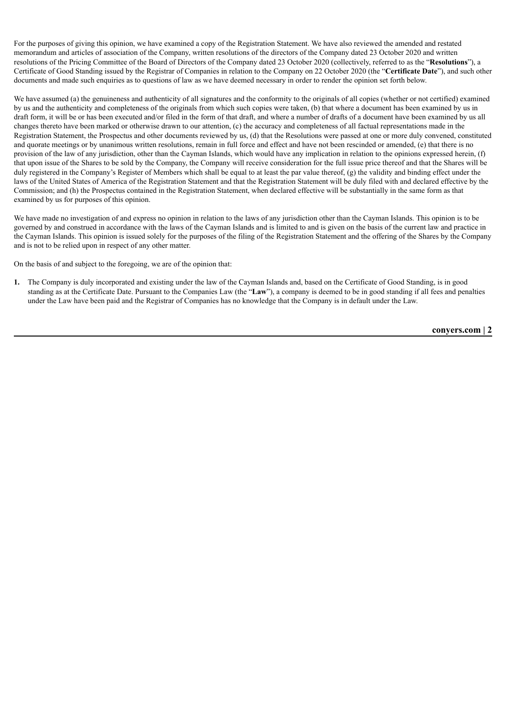For the purposes of giving this opinion, we have examined a copy of the Registration Statement. We have also reviewed the amended and restated memorandum and articles of association of the Company, written resolutions of the directors of the Company dated 23 October 2020 and written resolutions of the Pricing Committee of the Board of Directors of the Company dated 23 October 2020 (collectively, referred to as the "**Resolutions**"), a Certificate of Good Standing issued by the Registrar of Companies in relation to the Company on 22 October 2020 (the "**Certificate Date**"), and such other documents and made such enquiries as to questions of law as we have deemed necessary in order to render the opinion set forth below.

We have assumed (a) the genuineness and authenticity of all signatures and the conformity to the originals of all copies (whether or not certified) examined by us and the authenticity and completeness of the originals from which such copies were taken, (b) that where a document has been examined by us in draft form, it will be or has been executed and/or filed in the form of that draft, and where a number of drafts of a document have been examined by us all changes thereto have been marked or otherwise drawn to our attention, (c) the accuracy and completeness of all factual representations made in the Registration Statement, the Prospectus and other documents reviewed by us, (d) that the Resolutions were passed at one or more duly convened, constituted and quorate meetings or by unanimous written resolutions, remain in full force and effect and have not been rescinded or amended, (e) that there is no provision of the law of any jurisdiction, other than the Cayman Islands, which would have any implication in relation to the opinions expressed herein, (f) that upon issue of the Shares to be sold by the Company, the Company will receive consideration for the full issue price thereof and that the Shares will be duly registered in the Company's Register of Members which shall be equal to at least the par value thereof, (g) the validity and binding effect under the laws of the United States of America of the Registration Statement and that the Registration Statement will be duly filed with and declared effective by the Commission; and (h) the Prospectus contained in the Registration Statement, when declared effective will be substantially in the same form as that examined by us for purposes of this opinion.

We have made no investigation of and express no opinion in relation to the laws of any jurisdiction other than the Cayman Islands. This opinion is to be governed by and construed in accordance with the laws of the Cayman Islands and is limited to and is given on the basis of the current law and practice in the Cayman Islands. This opinion is issued solely for the purposes of the filing of the Registration Statement and the offering of the Shares by the Company and is not to be relied upon in respect of any other matter.

On the basis of and subject to the foregoing, we are of the opinion that:

**1.** The Company is duly incorporated and existing under the law of the Cayman Islands and, based on the Certificate of Good Standing, is in good standing as at the Certificate Date. Pursuant to the Companies Law (the "**Law**"), a company is deemed to be in good standing if all fees and penalties under the Law have been paid and the Registrar of Companies has no knowledge that the Company is in default under the Law.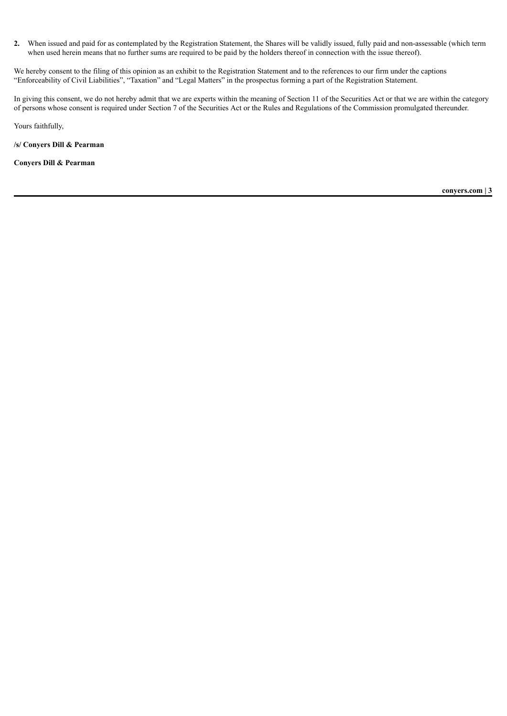**2.** When issued and paid for as contemplated by the Registration Statement, the Shares will be validly issued, fully paid and non-assessable (which term when used herein means that no further sums are required to be paid by the holders thereof in connection with the issue thereof).

We hereby consent to the filing of this opinion as an exhibit to the Registration Statement and to the references to our firm under the captions "Enforceability of Civil Liabilities", "Taxation" and "Legal Matters" in the prospectus forming a part of the Registration Statement.

In giving this consent, we do not hereby admit that we are experts within the meaning of Section 11 of the Securities Act or that we are within the category of persons whose consent is required under Section 7 of the Securities Act or the Rules and Regulations of the Commission promulgated thereunder.

Yours faithfully,

**/s/ Conyers Dill & Pearman**

**Conyers Dill & Pearman**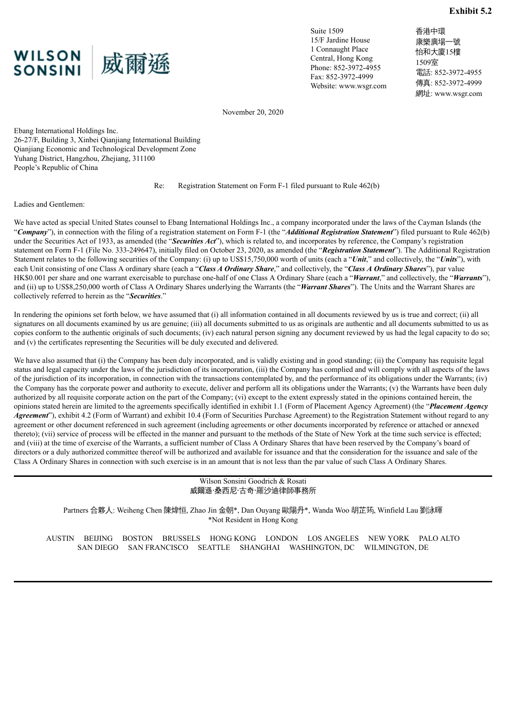<span id="page-9-0"></span>

Suite 1509 15/F Jardine House 1 Connaught Place Central, Hong Kong Phone: 852-3972-4955 Fax: 852-3972-4999 Website: www.wsgr.com 香港中環 康樂廣場一號 怡和大廈15樓 1509室 電話: 852-3972-4955 傳真: 852-3972-4999 網址: www.wsgr.com

November 20, 2020

Ebang International Holdings Inc. 26-27/F, Building 3, Xinbei Qianjiang International Building Qianjiang Economic and Technological Development Zone Yuhang District, Hangzhou, Zhejiang, 311100 People's Republic of China

Re: Registration Statement on Form F-1 filed pursuant to Rule 462(b)

Ladies and Gentlemen:

We have acted as special United States counsel to Ebang International Holdings Inc., a company incorporated under the laws of the Cayman Islands (the "*Company*"), in connection with the filing of a registration statement on Form F-1 (the "*Additional Registration Statement*") filed pursuant to Rule 462(b) under the Securities Act of 1933, as amended (the "*Securities Act*"), which is related to, and incorporates by reference, the Company's registration statement on Form F-1 (File No. 333-249647), initially filed on October 23, 2020, as amended (the "*Registration Statement*"). The Additional Registration Statement relates to the following securities of the Company: (i) up to US\$15,750,000 worth of units (each a "*Unit*," and collectively, the "*Units*"), with each Unit consisting of one Class A ordinary share (each a "*Class A Ordinary Share*," and collectively, the "*Class A Ordinary Shares*"), par value HK\$0.001 per share and one warrant exercisable to purchase one-half of one Class A Ordinary Share (each a "*Warrant*," and collectively, the "*Warrants*"), and (ii) up to US\$8,250,000 worth of Class A Ordinary Shares underlying the Warrants (the "*Warrant Shares*"). The Units and the Warrant Shares are collectively referred to herein as the "*Securities*."

In rendering the opinions set forth below, we have assumed that (i) all information contained in all documents reviewed by us is true and correct; (ii) all signatures on all documents examined by us are genuine; (iii) all documents submitted to us as originals are authentic and all documents submitted to us as copies conform to the authentic originals of such documents; (iv) each natural person signing any document reviewed by us had the legal capacity to do so; and (v) the certificates representing the Securities will be duly executed and delivered.

We have also assumed that (i) the Company has been duly incorporated, and is validly existing and in good standing; (ii) the Company has requisite legal status and legal capacity under the laws of the jurisdiction of its incorporation, (iii) the Company has complied and will comply with all aspects of the laws of the jurisdiction of its incorporation, in connection with the transactions contemplated by, and the performance of its obligations under the Warrants; (iv) the Company has the corporate power and authority to execute, deliver and perform all its obligations under the Warrants; (v) the Warrants have been duly authorized by all requisite corporate action on the part of the Company; (vi) except to the extent expressly stated in the opinions contained herein, the opinions stated herein are limited to the agreements specifically identified in exhibit 1.1 (Form of Placement Agency Agreement) (the "*Placement Agency Agreement*"), exhibit 4.2 (Form of Warrant) and exhibit 10.4 (Form of Securities Purchase Agreement) to the Registration Statement without regard to any agreement or other document referenced in such agreement (including agreements or other documents incorporated by reference or attached or annexed thereto); (vii) service of process will be effected in the manner and pursuant to the methods of the State of New York at the time such service is effected; and (viii) at the time of exercise of the Warrants, a sufficient number of Class A Ordinary Shares that have been reserved by the Company's board of directors or a duly authorized committee thereof will be authorized and available for issuance and that the consideration for the issuance and sale of the Class A Ordinary Shares in connection with such exercise is in an amount that is not less than the par value of such Class A Ordinary Shares.

### Wilson Sonsini Goodrich & Rosati 威爾遜‧桑西尼‧古奇‧羅沙迪律師事務所

Partners 合夥人: Weiheng Chen 陳煒恒, Zhao Jin 金朝\*, Dan Ouyang 歐陽丹\*, Wanda Woo 胡芷筠, Winfield Lau 劉泳暉 \*Not Resident in Hong Kong

AUSTIN BEIJING BOSTON BRUSSELS HONG KONG LONDON LOS ANGELES NEW YORK PALO ALTO SAN DIEGO SAN FRANCISCO SEATTLE SHANGHAI WASHINGTON, DC WILMINGTON, DE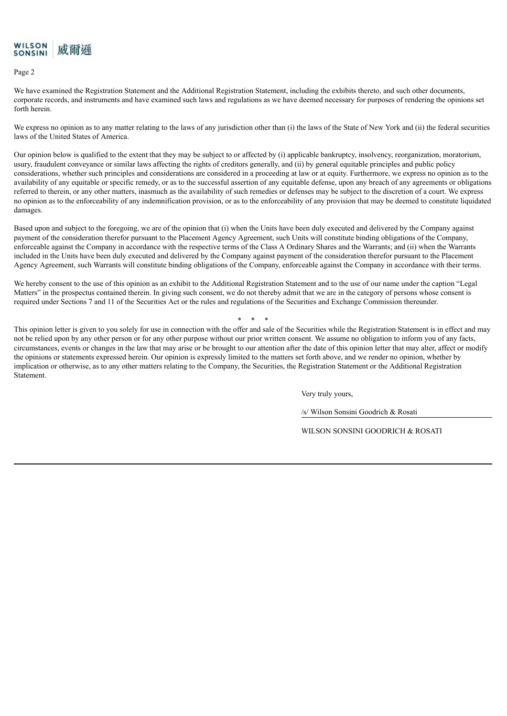

Page 2

We have examined the Registration Statement and the Additional Registration Statement, including the exhibits thereto, and such other documents, corporate records, and instruments and have examined such laws and regulations as we have deemed necessary for purposes of rendering the opinions set forth herein.

We express no opinion as to any matter relating to the laws of any jurisdiction other than (i) the laws of the State of New York and (ii) the federal securities laws of the United States of America.

Our opinion below is qualified to the extent that they may be subject to or affected by (i) applicable bankruptcy, insolvency, reorganization, moratorium, usury, fraudulent conveyance or similar laws affecting the rights of creditors generally, and (ii) by general equitable principles and public policy considerations, whether such principles and considerations are considered in a proceeding at law or at equity. Furthermore, we express no opinion as to the availability of any equitable or specific remedy, or as to the successful assertion of any equitable defense, upon any breach of any agreements or obligations referred to therein, or any other matters, inasmuch as the availability of such remedies or defenses may be subject to the discretion of a court. We express no opinion as to the enforceability of any indemnification provision, or as to the enforceability of any provision that may be deemed to constitute liquidated damages.

Based upon and subject to the foregoing, we are of the opinion that (i) when the Units have been duly executed and delivered by the Company against payment of the consideration therefor pursuant to the Placement Agency Agreement, such Units will constitute binding obligations of the Company, enforceable against the Company in accordance with the respective terms of the Class A Ordinary Shares and the Warrants; and (ii) when the Warrants included in the Units have been duly executed and delivered by the Company against payment of the consideration therefor pursuant to the Placement Agency Agreement, such Warrants will constitute binding obligations of the Company, enforceable against the Company in accordance with their terms.

We hereby consent to the use of this opinion as an exhibit to the Additional Registration Statement and to the use of our name under the caption "Legal Matters" in the prospectus contained therein. In giving such consent, we do not thereby admit that we are in the category of persons whose consent is required under Sections 7 and 11 of the Securities Act or the rules and regulations of the Securities and Exchange Commission thereunder.

\* \* \*

This opinion letter is given to you solely for use in connection with the offer and sale of the Securities while the Registration Statement is in effect and may not be relied upon by any other person or for any other purpose without our prior written consent. We assume no obligation to inform you of any facts, circumstances, events or changes in the law that may arise or be brought to our attention after the date of this opinion letter that may alter, affect or modify the opinions or statements expressed herein. Our opinion is expressly limited to the matters set forth above, and we render no opinion, whether by implication or otherwise, as to any other matters relating to the Company, the Securities, the Registration Statement or the Additional Registration Statement.

Very truly yours,

/s/ Wilson Sonsini Goodrich & Rosati

WILSON SONSINI GOODRICH & ROSATI